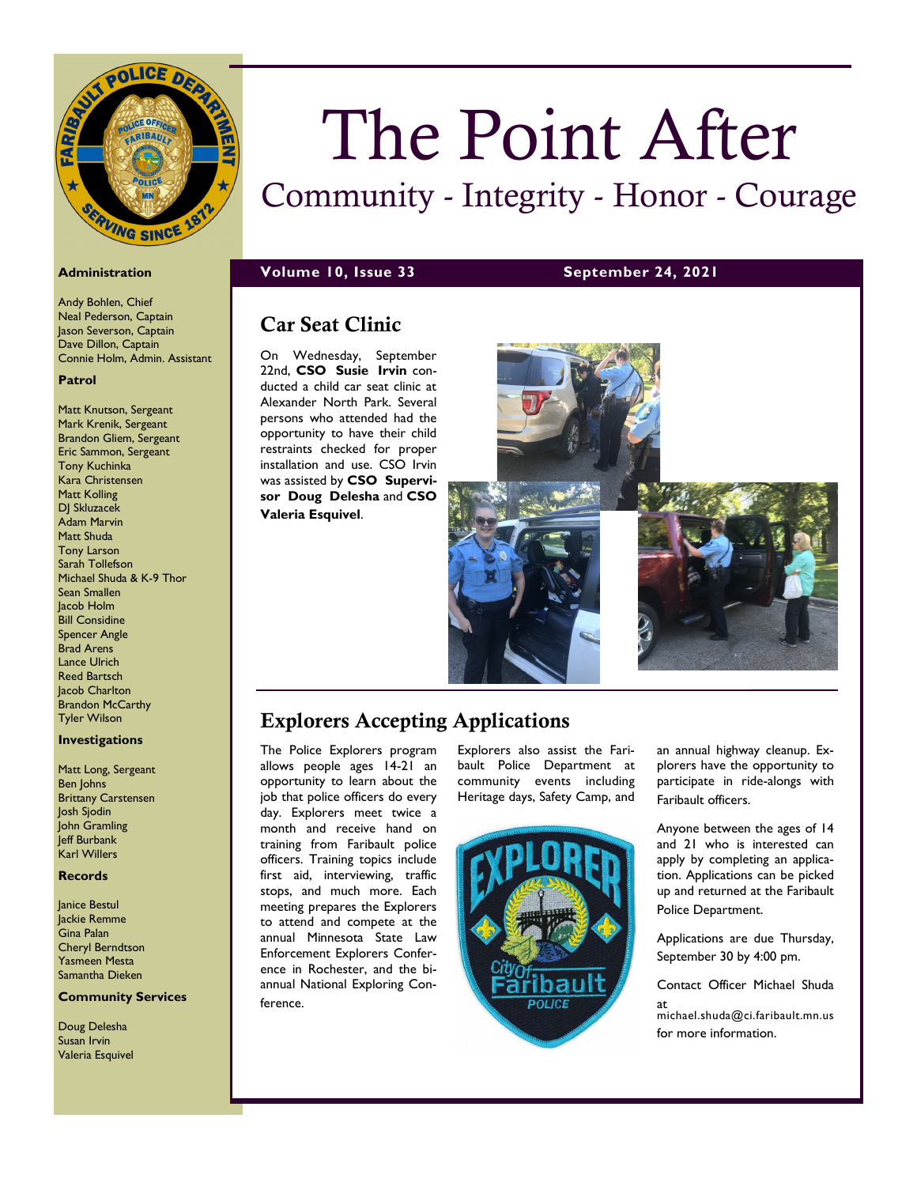

Andy Bohlen, Chief Neal Pederson, Captain Jason Severson, Captain Dave Dillon, Captain Connie Holm, Admin. Assistant

### **Patrol**

Matt Knutson, Sergeant Mark Krenik, Sergeant Brandon Gliem, Sergeant Eric Sammon, Sergeant Tony Kuchinka Kara Christensen Matt Kolling DJ Skluzacek Adam Marvin Matt Shuda Tony Larson Sarah Tollefson Michael Shuda & K-9 Thor Sean Smallen Jacob Holm Bill Considine Spencer Angle Brad Arens Lance Ulrich Reed Bartsch **Jacob Charlton** Brandon McCarthy Tyler Wilson

## **Investigations**

Matt Long, Sergeant Ben Johns Brittany Carstensen Josh Sjodin John Gramling .<br>Jeff Burbank Karl Willers

## **Records**

Janice Bestul Jackie Remme Gina Palan Cheryl Berndtson Yasmeen Mesta Samantha Dieken

# **Community Services**

Doug Delesha Susan Irvin Valeria Esquivel

# The Point After

# Community - Integrity - Honor - Courage

**Administration Volume 10, Issue 33 September 24, 2021**

**Valeria Esquivel**.

# Car Seat Clinic On Wednesday, September 22nd, **CSO Susie Irvin** conducted a child car seat clinic at Alexander North Park. Several persons who attended had the opportunity to have their child restraints checked for proper installation and use. CSO Irvin was assisted by **CSO Supervisor Doug Delesha** and **CSO**

# Explorers Accepting Applications

The Police Explorers program allows people ages 14-21 an opportunity to learn about the job that police officers do every day. Explorers meet twice a month and receive hand on training from Faribault police officers. Training topics include first aid, interviewing, traffic stops, and much more. Each meeting prepares the Explorers to attend and compete at the annual Minnesota State Law Enforcement Explorers Conference in Rochester, and the biannual National Exploring Conference.

Explorers also assist the Faribault Police Department at community events including Heritage days, Safety Camp, and



an annual highway cleanup. Explorers have the opportunity to participate in ride-alongs with Faribault officers.

Anyone between the ages of 14 and 21 who is interested can apply by completing an application. Applications can be picked up and returned at the Faribault Police Department.

Applications are due Thursday, September 30 by 4:00 pm.

Contact Officer Michael Shuda

at michael.shuda@ci.faribault.mn.us for more information.